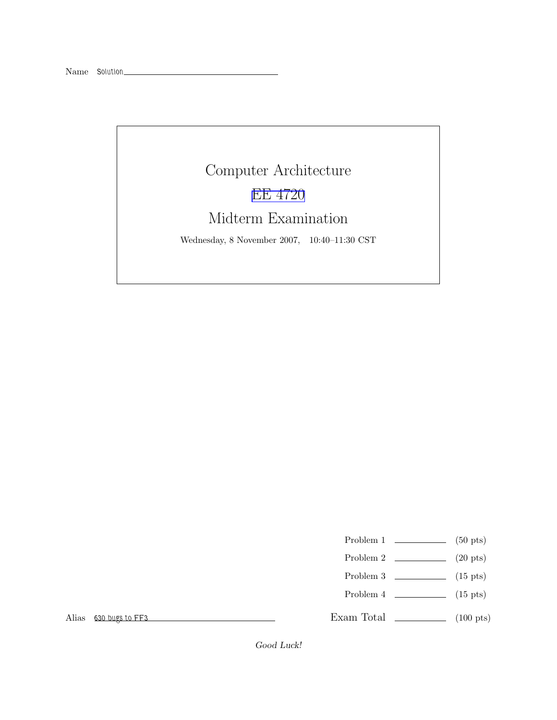## Computer Architecture EE [4720](http://www.ece.lsu.edu/ee4720/) Midterm Examination Wednesday, 8 November 2007, 10:40–11:30 CST

- Problem 1  $\qquad \qquad$  (50 pts)
- Problem 2  $\qquad \qquad$  (20 pts)
- Problem 3  $\qquad \qquad$  (15 pts)
- Problem 4  $\sim$  (15 pts)

Exam Total \_\_\_\_\_\_\_\_\_\_\_\_\_ (100 pts)

Alias 630 bugs to FF3

Good Luck!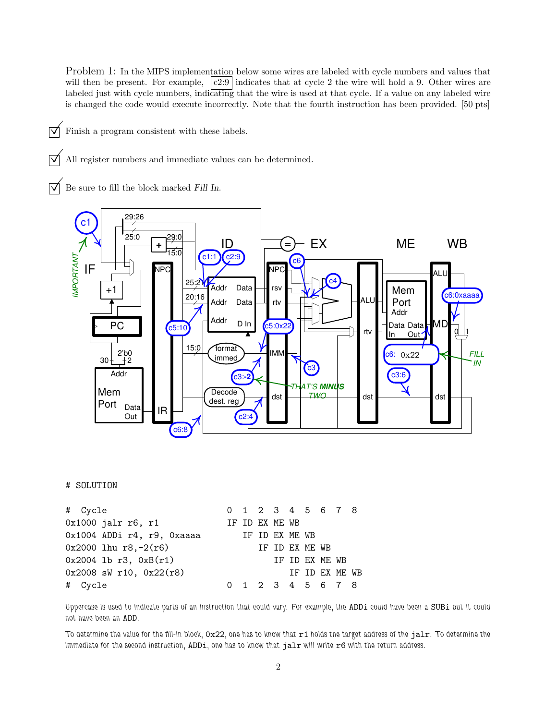Problem 1: In the MIPS implementation below some wires are labeled with cycle numbers and values that will then be present. For example,  $\boxed{c2:9}$  indicates that at cycle 2 the wire will hold a 9. Other wires are labeled just with cycle numbers, indicating that the wire is used at that cycle. If a value on any labeled wire is changed the code would execute incorrectly. Note that the fourth instruction has been provided. [50 pts]

 $\triangledown$  Finish a program consistent with these labels.

All register numbers and immediate values can be determined.

 $\overrightarrow{V}$  Be sure to fill the block marked Fill In.



## # SOLUTION

| # Cycle                     |  |                |                |                | 0 1 2 3 4 5 6 7 8 |  |
|-----------------------------|--|----------------|----------------|----------------|-------------------|--|
| 0x1000 jalr r6, r1          |  | IF ID EX ME WB |                |                |                   |  |
| 0x1004 ADDi r4, r9, 0xaaaa  |  | IF ID EX ME WB |                |                |                   |  |
| $0x2000$ lhu r8,-2(r6)      |  |                | IF ID EX ME WB |                |                   |  |
| $0x2004$ lb r3, $0xB(r1)$   |  |                |                | IF ID EX ME WB |                   |  |
| $0x2008$ sW r10, $0x22(r8)$ |  |                |                |                | IF ID EX ME WB    |  |
| # Cycle                     |  |                |                |                | 0 1 2 3 4 5 6 7 8 |  |

Uppercase is used to indicate parts of an instruction that could vary. For example, the ADDi could have been a SUBi but it could not have been an ADD.

To determine the value for the fill-in block, 0x22, one has to know that r1 holds the target address of the jalr. To determine the immediate for the second instruction, ADDi, one has to know that jalr will write r6 with the return address.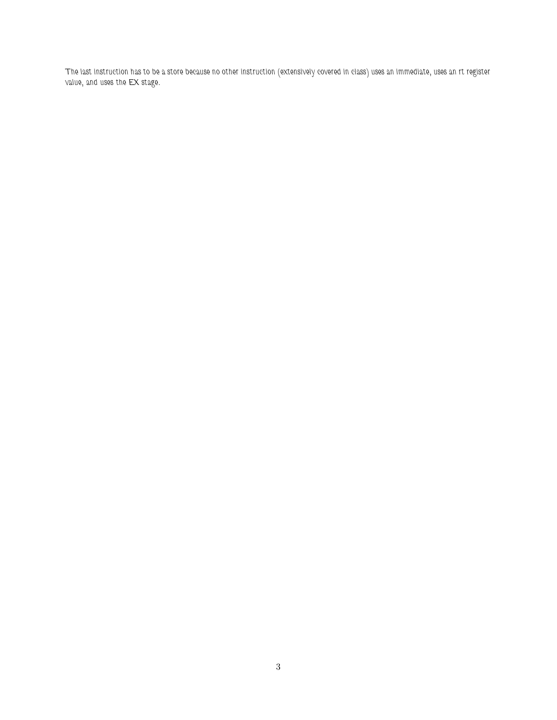The last instruction has to be a store because no other instruction (extensively covered in class) uses an immediate, uses an rt register value, and uses the EX stage.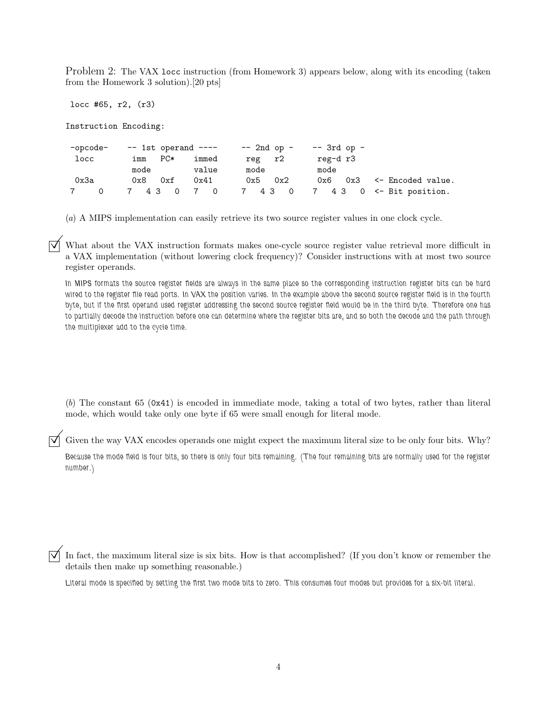Problem 2: The VAX locc instruction (from Homework 3) appears below, along with its encoding (taken from the Homework 3 solution).[20 pts]

locc #65, r2, (r3)

Instruction Encoding:

 $-pcode$ - $pcode$ - $-1$ st operand ----  $-2$ nd op - -- 3rd op locc imm PC\* immed reg r2 reg-d r3 mode value mode mode 0x3a 0x8 0xf 0x41 0x5 0x2 0x6 0x3 <- Encoded value. 7 0 7 4 3 0 7 0 7 4 3 0 7 4 3 0 <- Bit position.

(a) A MIPS implementation can easily retrieve its two source register values in one clock cycle.

What about the VAX instruction formats makes one-cycle source register value retrieval more difficult in a VAX implementation (without lowering clock frequency)? Consider instructions with at most two source register operands.

In MIPS formats the source register fields are always in the same place so the corresponding instruction register bits can be hard wired to the register file read ports. In VAX the position varies. In the example above the second source register field is in the fourth byte, but if the first operand used register addressing the second source register field would be in the third byte. Therefore one has to partially decode the instruction before one can determine where the register bits are, and so both the decode and the path through the multiplexer add to the cycle time.

(b) The constant 65 (0x41) is encoded in immediate mode, taking a total of two bytes, rather than literal mode, which would take only one byte if 65 were small enough for literal mode.

Given the way VAX encodes operands one might expect the maximum literal size to be only four bits. Why?

Because the mode field is four bits, so there is only four bits remaining. (The four remaining bits are normally used for the register number.)

In fact, the maximum literal size is six bits. How is that accomplished? (If you don't know or remember the details then make up something reasonable.)

Literal mode is specified by setting the first two mode bits to zero. This consumes four modes but provides for a six-bit literal.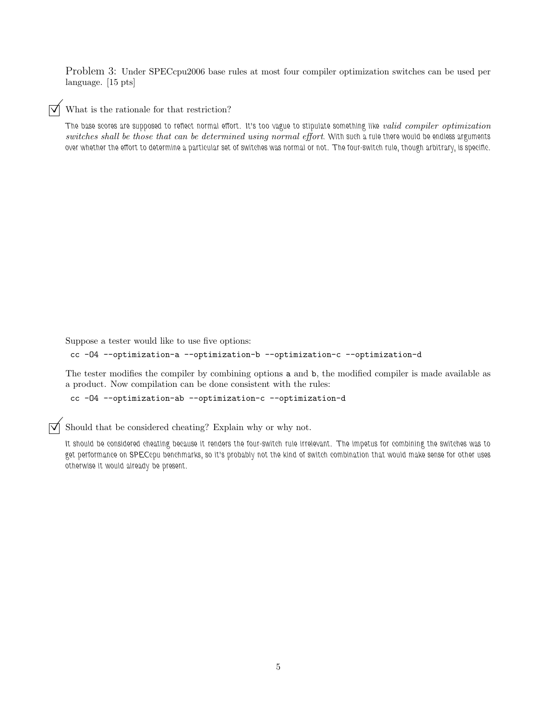Problem 3: Under SPECcpu2006 base rules at most four compiler optimization switches can be used per language. [15 pts]

 $\triangledown$  What is the rationale for that restriction?

The base scores are supposed to reflect normal effort. It's too vague to stipulate something like valid compiler optimization switches shall be those that can be determined using normal effort. With such a rule there would be endless arguments over whether the effort to determine a particular set of switches was normal or not. The four-switch rule, though arbitrary, is specific.

Suppose a tester would like to use five options:

cc -O4 --optimization-a --optimization-b --optimization-c --optimization-d

The tester modifies the compiler by combining options a and b, the modified compiler is made available as a product. Now compilation can be done consistent with the rules:

```
cc -O4 --optimization-ab --optimization-c --optimization-d
```
Should that be considered cheating? Explain why or why not.

It should be considered cheating because it renders the four-switch rule irrelevant. The impetus for combining the switches was to get performance on SPECcpu benchmarks, so it's probably not the kind of switch combination that would make sense for other uses otherwise it would already be present.